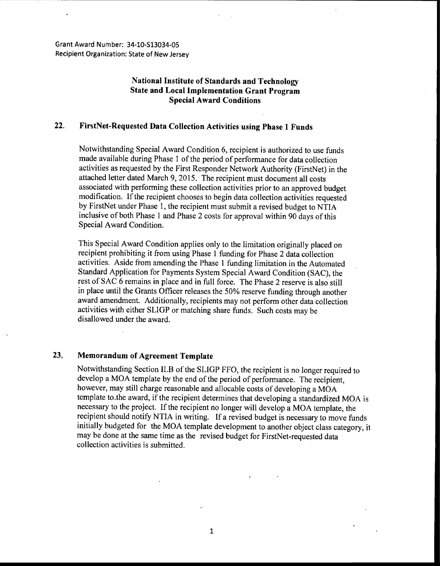Grant Award Number: 34-10-513034-05 Recipient Organization: State of New Jersey

## **National Institute of Standards and Technology State and Local Implementation Grant Program Special Award Conditions**

## **22. FirstNet-Requested Data Collection Activities using Phase 1 Funds**

Notwithstanding Special Award Condition 6, recipient is authorized to use funds made available during Phase 1 of the period of performance for data collection activities as requested by the First Responder Network Authority (FirstNet) in the attached letter dated March 9, 2015. The recipient must document all costs associated with performing these collection activities prior to an approved budget modification. If the recipient chooses to begin data collection activities requested by FirstNet under Phase 1, the recipient must submit a revised budget to NTJA inclusive of both Phase 1 and Phase 2 costs for approval within 90 days of this Special Award Condition.

This Special Award Condition applies only to the limitation originally placed on recipient prohibiting it from using Phase 1 funding for Phase 2 data collection activities. Aside from amending the Phase 1 funding limitation in the Automated Standard Application for Payments System Special Award Condition (SAC), the rest of SAC 6 remains in place and in full force. The Phase 2 reserve is also still in place until the Grants Officer releases the 50% reserve funding through another award amendment. Additionally, recipients may not perform other data collection activities with either SLIGP or matching share funds. Such costs may be disallowed under the award.

## **23, Memorandum of Agreement Template**

Notwithstanding Section II.B of the SLIGP FFO, the recipient is no longer required to develop a MOA template by the end of the period of performance. The recipient, however, may still charge reasonable and allocable costs of developing a MOA template to.the award, if the recipient determines that developing a standardized MOA is necessary to the project. If the recipient no longer will develop a MOA template, the recipient should notify NTIA in writing. If a revised budget is necessary to move funds initially budgeted for the MOA template development to another object class category, it may be done at the same time as the revised budget for FirstNet-requested data collection activities is submitted.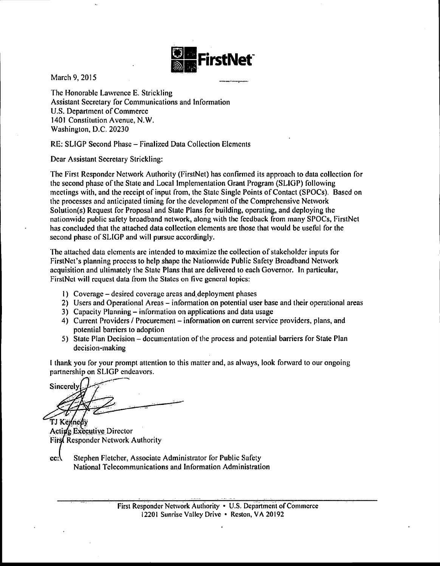

March 9, 2015

The Honorable Lawrence E. Strickling Assistant Secretary for Communications and Information U.S. Department of Commerce 1401 Constitution Avenue, N.W. Washington, D.C. 20230

RE: SLIGP Second Phase- Finalized Data Collection Elements

Dear Assistant Secretary Strickling:

The First Responder Network Authority (FirstNet) has confirmed its approach to data collection for the second phase of the State and Local Implementation Grant Program (SLIGP) following meetings with, and the receipt of input from, the State Single Points of Contact (SPOCs). Based on the processes and anticipated timing for the development of the Comprehensive Network Solution(s) Request for Proposal and State Plans for building, operating, and deploying the nationwide public safety broadband network, along with the feedback from many SPOCs, FirstNet has concluded that the attached data collection elements are those that would be useful for the second phase of SLIGP and will pursue accordingly.

The attached data elements are intended to maximize the collection of stakeholder inputs for FirstNet's planning process to help shape the Nationwide Public Safety Broadband Network acquisition and ultimately the State Plans that are delivered to each Governor. In particular, FirstNet will request data from the States on five general topics:

- I) Coverage- desired coverage areas and,deploymcnt phases
- 2) Users and Operational Areas- information on potential user base and their operational areas
- 3) Capacity Planning- information on applications and data usage
- 4) Current Providers / Procurement information on current service providers, plans, and potential barriers to adoption
- 5) State Plan Decision- documentation of the process and potential barriers for Stale Plan decision-making

I thank you for your prompt attention to this matter and, as always, look forward to our ongoing partnership on SLIGP endeavors.

Sincerely

TJ Kennedy Acting Executive Director **First Responder Network Authority** 

cc: Stephen Fletcher, Associate Administrator for Public Safety National Telecommunications and Information Administration